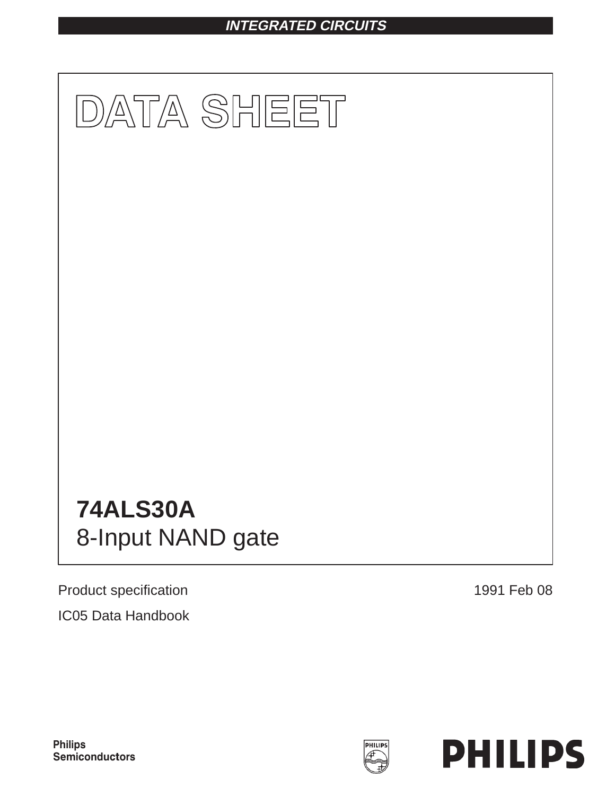# **INTEGRATED CIRCUITS**



Product specification 1991 Feb 08 IC05 Data Handbook



**Philips** Semiconductors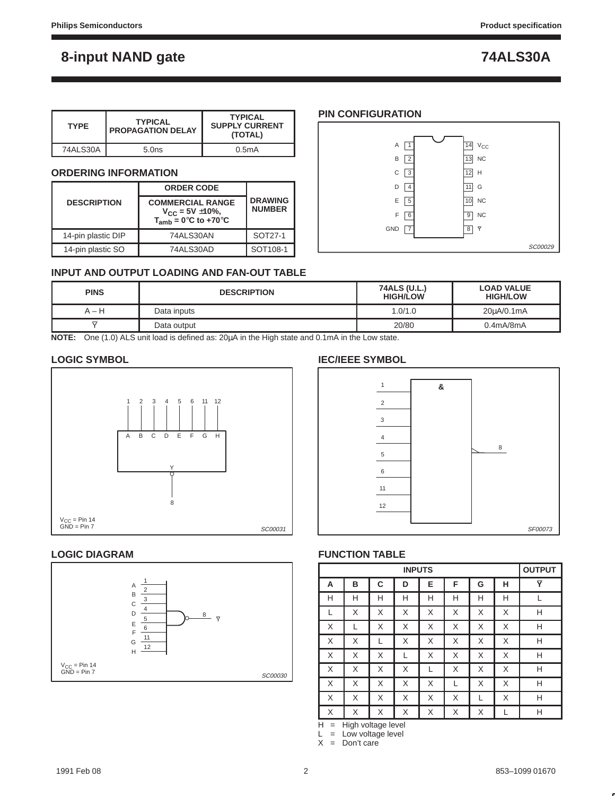| <b>TYPE</b> | <b>TYPICAL</b><br><b>PROPAGATION DELAY</b> | <b>TYPICAL</b><br><b>SUPPLY CURRENT</b><br>(TOTAL) |
|-------------|--------------------------------------------|----------------------------------------------------|
| 74ALS30A    | 5.0 <sub>ns</sub>                          | 0.5mA                                              |

## **ORDERING INFORMATION**

|                    | <b>ORDER CODE</b>                                                               | <b>DRAWING</b><br><b>NUMBER</b> |  |
|--------------------|---------------------------------------------------------------------------------|---------------------------------|--|
| <b>DESCRIPTION</b> | <b>COMMERCIAL RANGE</b><br>$V_{CC} = 5V \pm 10\%,$<br>$T_{amb} = 0$ °C to +70°C |                                 |  |
| 14-pin plastic DIP | 74ALS30AN                                                                       | SOT27-1                         |  |
| 14-pin plastic SO  | 74ALS30AD                                                                       | SOT108-1                        |  |



# **INPUT AND OUTPUT LOADING AND FAN-OUT TABLE**

| <b>PINS</b> | <b>DESCRIPTION</b> | 74ALS (U.L.)<br><b>HIGH/LOW</b> | <b>LOAD VALUE</b><br><b>HIGH/LOW</b> |  |  |  |
|-------------|--------------------|---------------------------------|--------------------------------------|--|--|--|
| $A-H$       | Data inputs        | 1.0/1.0                         | 20uA/0.1mA                           |  |  |  |
|             | Data output        | 20/80                           | $0.4$ m $A/8$ m $A$                  |  |  |  |
|             |                    |                                 |                                      |  |  |  |

**NOTE:** One (1.0) ALS unit load is defined as: 20µA in the High state and 0.1mA in the Low state.

# **LOGIC SYMBOL**



# **LOGIC DIAGRAM**



# **IEC/IEEE SYMBOL**



# **FUNCTION TABLE**

|   | <b>INPUTS</b> |   |   |   |   |   |   | <b>OUTPUT</b> |
|---|---------------|---|---|---|---|---|---|---------------|
| A | B             | C | D | E | F | G | н | Y             |
| Н | Н             | Н | н | Н | Н | Н | Н |               |
| L | X             | X | X | X | X | X | X | Н             |
| X |               | X | X | Χ | X | X | X | Н             |
| X | X             | L | X | Χ | X | X | X | Н             |
| X | X             | X |   | Χ | X | X | X | Н             |
| X | X             | X | X | L | X | X | X | Н             |
| X | X             | X | X | Χ | L | X | X | Н             |
| X | X             | X | X | Χ | X |   | X | Н             |
| Χ | X             | Χ | X | Χ | X | X |   | Н             |

 $H =$  High voltage level

 $L = Low voltage level$ 

 $X = Don't care$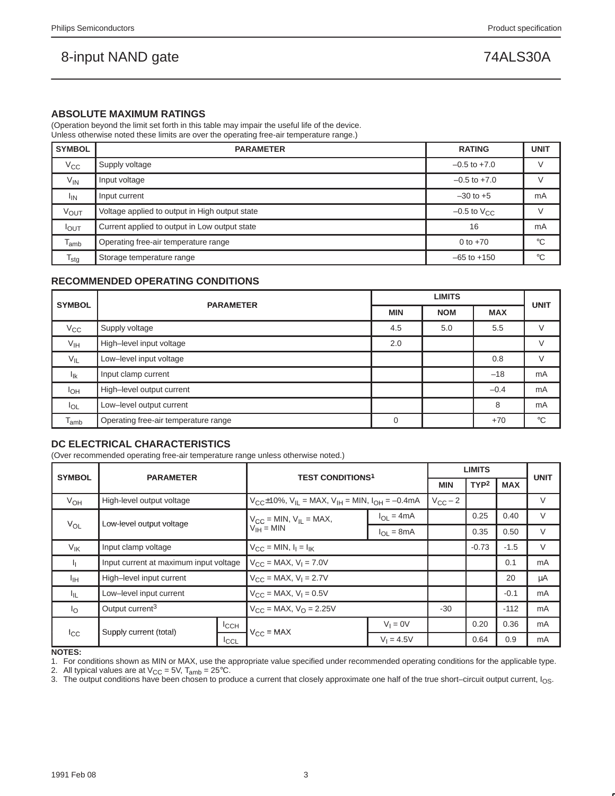### **ABSOLUTE MAXIMUM RATINGS**

(Operation beyond the limit set forth in this table may impair the useful life of the device. Unless otherwise noted these limits are over the operating free-air temperature range.)

| <b>SYMBOL</b>    | <b>PARAMETER</b>                                    | <b>RATING</b>             | <b>UNIT</b> |  |
|------------------|-----------------------------------------------------|---------------------------|-------------|--|
| $V_{\rm CC}$     | Supply voltage                                      | $-0.5$ to $+7.0$          |             |  |
| $V_{IN}$         | Input voltage                                       | $-0.5$ to $+7.0$          |             |  |
| <sup>I</sup> IN  | Input current                                       | $-30$ to $+5$             | mA          |  |
| <b>VOUT</b>      | Voltage applied to output in High output state      | $-0.5$ to $V_{\text{CC}}$ |             |  |
| $I_{\text{OUT}}$ | Current applied to output in Low output state<br>16 |                           |             |  |
| $T_{amb}$        | Operating free-air temperature range<br>0 to $+70$  |                           |             |  |
| $T_{\text{stg}}$ | Storage temperature range                           | $-65$ to $+150$           | $^{\circ}C$ |  |

# **RECOMMENDED OPERATING CONDITIONS**

| <b>SYMBOL</b>   | <b>PARAMETER</b>                     |            | <b>UNIT</b> |            |              |
|-----------------|--------------------------------------|------------|-------------|------------|--------------|
|                 |                                      | <b>MIN</b> | <b>NOM</b>  | <b>MAX</b> |              |
| $V_{\rm CC}$    | Supply voltage                       | 4.5        | 5.0         | 5.5        | $\vee$       |
| $V_{\text{IH}}$ | High-level input voltage             |            |             |            | $\vee$       |
| $V_{IL}$        | Low-level input voltage              |            |             | 0.8        | $\vee$       |
| $I_{lk}$        | Input clamp current                  |            |             | $-18$      | mA           |
| $I_{OH}$        | High-level output current            |            |             | $-0.4$     | mA           |
| $I_{OL}$        | Low-level output current             |            |             | 8          | mA           |
| $T_{amb}$       | Operating free-air temperature range | $\Omega$   |             | $+70$      | $^{\circ}$ C |

# **DC ELECTRICAL CHARACTERISTICS**

(Over recommended operating free-air temperature range unless otherwise noted.)

| <b>SYMBOL</b><br><b>PARAMETER</b> |                                                               |  | <b>TEST CONDITIONS1</b>                                             |                    | <b>LIMITS</b>    |            |        | <b>UNIT</b> |
|-----------------------------------|---------------------------------------------------------------|--|---------------------------------------------------------------------|--------------------|------------------|------------|--------|-------------|
|                                   |                                                               |  |                                                                     | <b>MIN</b>         | TYP <sup>2</sup> | <b>MAX</b> |        |             |
| $V_{OH}$                          | High-level output voltage                                     |  | $V_{C}t_{10}\%$ , $V_{II}$ = MAX, $V_{IH}$ = MIN, $I_{OH}$ = -0.4mA |                    | $V_{\rm CC}$ – 2 |            |        | V           |
|                                   | Low-level output voltage                                      |  | $V_{CC}$ = MIN, $V_{IL}$ = MAX,                                     | $I_{\Omega} = 4mA$ |                  | 0.25       | 0.40   | V           |
| $V_{OL}$                          |                                                               |  | $V_{IH} = MIN$                                                      | $I_{\Omega}$ = 8mA |                  | 0.35       | 0.50   | V           |
| $V_{\text{IK}}$                   | Input clamp voltage                                           |  | $V_{CC} = MIN, I_1 = I_{IK}$                                        |                    |                  | $-0.73$    | $-1.5$ | V           |
| h.                                | Input current at maximum input voltage                        |  | $V_{\text{CC}} = \text{MAX}, V_{\text{I}} = 7.0V$                   |                    |                  |            | 0.1    | mA          |
| Īщ                                | High-level input current                                      |  | $V_{CC}$ = MAX, $V_1$ = 2.7V                                        |                    |                  |            | 20     | μA          |
| Чı.                               | Low-level input current                                       |  | $V_{CC}$ = MAX, $V_1$ = 0.5V                                        |                    |                  |            | $-0.1$ | mA          |
| $I_{\rm O}$                       | Output current <sup>3</sup>                                   |  | $V_{\text{CC}}$ = MAX, $V_{\text{O}}$ = 2.25V                       |                    | $-30$            |            | $-112$ | mA          |
|                                   | ICCH<br>Supply current (total)<br>$_{\rm lcc}$<br><b>ICCL</b> |  |                                                                     | $V_1 = 0V$         |                  | 0.20       | 0.36   | mA          |
|                                   |                                                               |  | $V_{CC} = MAX$                                                      | $V_1 = 4.5V$       |                  | 0.64       | 0.9    | mA          |

### **NOTES:**

2. All typical values are at  $V_{CC} = 5V$ ,  $T_{amb} = 25^{\circ}C$ .

3. The output conditions have been chosen to produce a current that closely approximate one half of the true short–circuit output current, I<sub>OS</sub>.

<sup>1.</sup> For conditions shown as MIN or MAX, use the appropriate value specified under recommended operating conditions for the applicable type.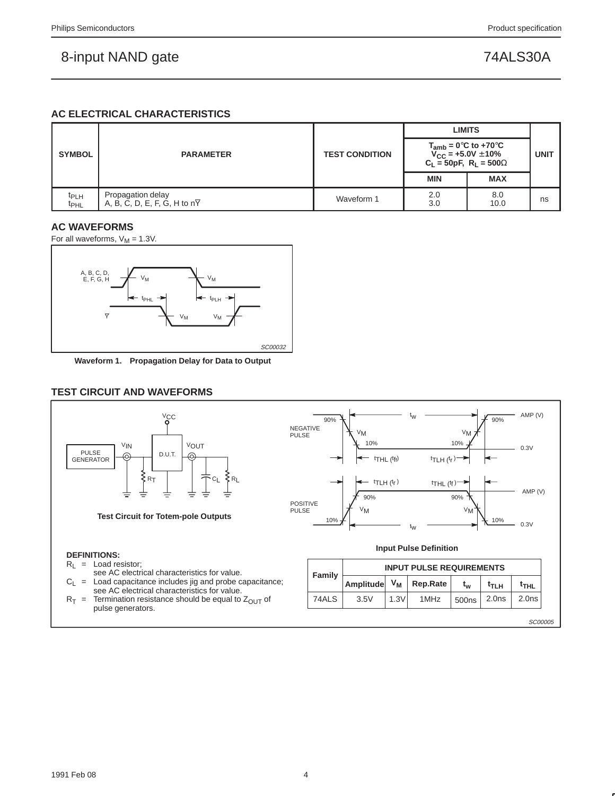# **AC ELECTRICAL CHARACTERISTICS**

|                                      |                                                                |                       | <b>LIMITS</b>                                                                                    |             |    |
|--------------------------------------|----------------------------------------------------------------|-----------------------|--------------------------------------------------------------------------------------------------|-------------|----|
| <b>SYMBOL</b>                        | <b>PARAMETER</b>                                               | <b>TEST CONDITION</b> | $T_{amb} = 0$ °C to +70°C<br>$V_{\rm CC}$ = +5.0V $\pm$ 10%<br>$C_{L} = 50pF, R_{L} = 500\Omega$ | <b>UNIT</b> |    |
|                                      |                                                                |                       | <b>MIN</b>                                                                                       | <b>MAX</b>  |    |
| t <sub>PLH</sub><br>t <sub>PHL</sub> | Propagation delay<br>A, B, C, D, E, F, G, H to $n\overline{Y}$ | Waveform 1            | 2.0<br>3.0                                                                                       | 8.0<br>10.0 | ns |

# **AC WAVEFORMS**

For all waveforms,  $V_M = 1.3V$ .



**Waveform 1. Propagation Delay for Data to Output**

# **TEST CIRCUIT AND WAVEFORMS**

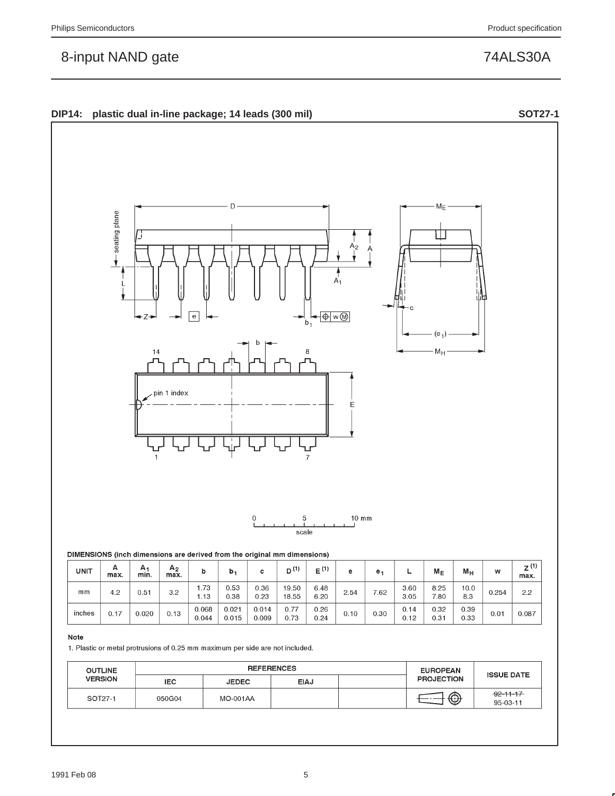seating plane

 $-Z$ 

**DIP14: plastic dual in-line package; 14 leads (300 mil) SOT27-1**

e

pin 1 index



 $A_1$ 

H⊕∣w®

F

 $\mathsf{b}_1$ 



1. Plastic or metal protrusions of 0.25 mm maximum per side are not included.

| <b>OUTLINE</b> |            | <b>REFERENCES</b> | <b>EUROPEAN</b> | <b>ISSUE DATE</b> |                   |                                   |
|----------------|------------|-------------------|-----------------|-------------------|-------------------|-----------------------------------|
| <b>VERSION</b> | <b>IEC</b> | <b>JEDEC</b>      | <b>EIAJ</b>     |                   | <b>PROJECTION</b> |                                   |
| SOT27-1        | 050G04     | <b>MO-001AA</b>   |                 |                   |                   | $-92 - 11 - 17$<br>$95 - 03 - 11$ |

 $M_{\text{E}}$ 

Ш

 $(e_1)$  $M_{\rm H}$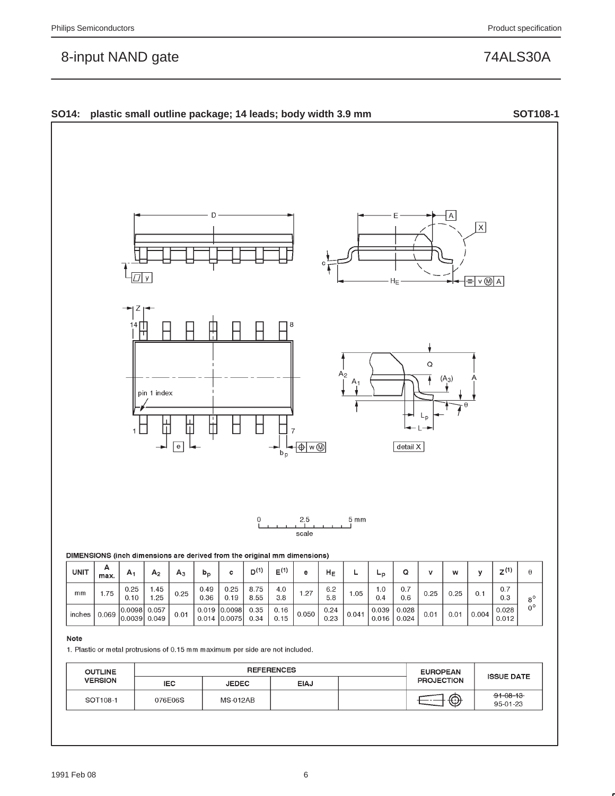

1. Plastic or metal protrusions of 0.15 mm maximum per side are not included.

| <b>OUTLINE</b> |            | <b>REFERENCES</b> | <b>EUROPEAN</b> |  |                   |                            |
|----------------|------------|-------------------|-----------------|--|-------------------|----------------------------|
| <b>VERSION</b> | <b>IEC</b> | <b>JEDEC</b>      | <b>EIAJ</b>     |  | <b>PROJECTION</b> | <b>ISSUE DATE</b>          |
| SOT108-1       | 076E06S    | <b>MS-012AB</b>   |                 |  | ⊕                 | $91 - 08 - 13$<br>95-01-23 |